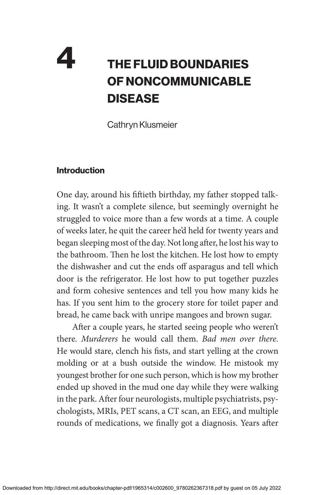# THE FLUID BOUNDARIES OF NONCOMMUNICABLE DISEASE 4

Cathryn Klusmeier

## Introduction

One day, around his fiftieth birthday, my father stopped talking. It wasn't a complete silence, but seemingly overnight he struggled to voice more than a few words at a time. A couple of weeks later, he quit the career he'd held for twenty years and began sleeping most of the day. Not long after, he lost his way to the bathroom. Then he lost the kitchen. He lost how to empty the dishwasher and cut the ends off asparagus and tell which door is the refrigerator. He lost how to put together puzzles and form cohesive sentences and tell you how many kids he has. If you sent him to the grocery store for toilet paper and bread, he came back with unripe mangoes and brown sugar.

After a couple years, he started seeing people who weren't there. *Murderers* he would call them. *Bad men over there.* He would stare, clench his fists, and start yelling at the crown molding or at a bush outside the window. He mistook my youngest brother for one such person, which is how my brother ended up shoved in the mud one day while they were walking in the park. After four neurologists, multiple psychiatrists, psychologists, MRIs, PET scans, a CT scan, an EEG, and multiple rounds of medications, we finally got a diagnosis. Years after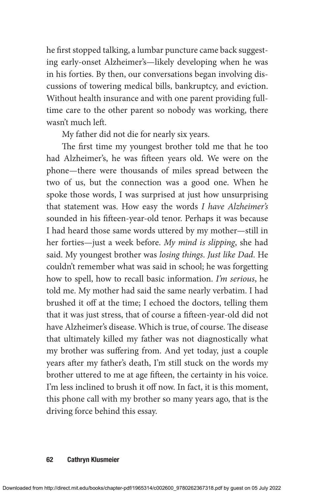he first stopped talking, a lumbar puncture came back suggesting early-onset Alzheimer's—likely developing when he was in his forties. By then, our conversations began involving discussions of towering medical bills, bankruptcy, and eviction. Without health insurance and with one parent providing fulltime care to the other parent so nobody was working, there wasn't much left.

My father did not die for nearly six years.

The first time my youngest brother told me that he too had Alzheimer's, he was fifteen years old. We were on the phone—there were thousands of miles spread between the two of us, but the connection was a good one. When he spoke those words, I was surprised at just how unsurprising that statement was. How easy the words *I have Alzheimer's* sounded in his fifteen-year-old tenor. Perhaps it was because I had heard those same words uttered by my mother—still in her forties—just a week before. *My mind is slipping*, she had said. My youngest brother was *losing things*. *Just like Dad*. He couldn't remember what was said in school; he was forgetting how to spell, how to recall basic information. *I'm serious*, he told me. My mother had said the same nearly verbatim. I had brushed it off at the time; I echoed the doctors, telling them that it was just stress, that of course a fifteen-year-old did not have Alzheimer's disease. Which is true, of course. The disease that ultimately killed my father was not diagnostically what my brother was suffering from. And yet today, just a couple years after my father's death, I'm still stuck on the words my brother uttered to me at age fifteen, the certainty in his voice. I'm less inclined to brush it off now. In fact, it is this moment, this phone call with my brother so many years ago, that is the driving force behind this essay.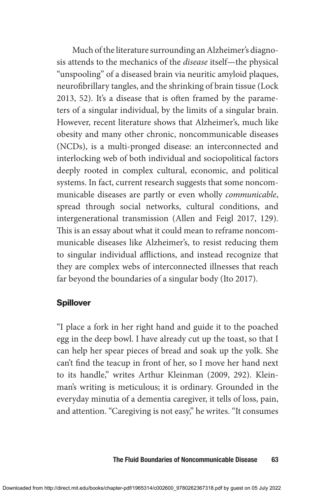Much of the literature surrounding an Alzheimer's diagnosis attends to the mechanics of the *disease* itself—the physical "unspooling" of a diseased brain via neuritic amyloid plaques, neurofibrillary tangles, and the shrinking of brain tissue (Lock 2013, 52). It's a disease that is often framed by the parameters of a singular individual, by the limits of a singular brain. However, recent literature shows that Alzheimer's, much like obesity and many other chronic, noncommunicable diseases (NCDs), is a multi-pronged disease: an interconnected and interlocking web of both individual and sociopolitical factors deeply rooted in complex cultural, economic, and political systems. In fact, current research suggests that some noncommunicable diseases are partly or even wholly *communicable*, spread through social networks, cultural conditions, and intergenerational transmission (Allen and Feigl 2017, 129). This is an essay about what it could mean to reframe noncommunicable diseases like Alzheimer's, to resist reducing them to singular individual afflictions, and instead recognize that they are complex webs of interconnected illnesses that reach far beyond the boundaries of a singular body (Ito 2017).

## **Spillover**

"I place a fork in her right hand and guide it to the poached egg in the deep bowl. I have already cut up the toast, so that I can help her spear pieces of bread and soak up the yolk. She can't find the teacup in front of her, so I move her hand next to its handle," writes Arthur Kleinman (2009, 292). Kleinman's writing is meticulous; it is ordinary. Grounded in the everyday minutia of a dementia caregiver, it tells of loss, pain, and attention. "Caregiving is not easy," he writes. "It consumes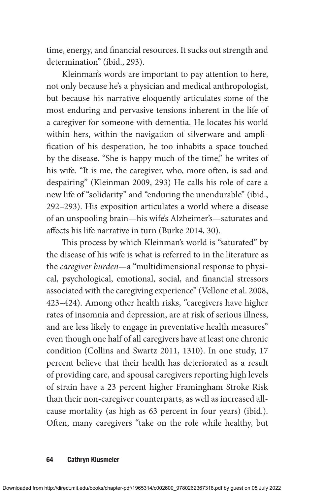time, energy, and financial resources. It sucks out strength and determination" (ibid., 293).

Kleinman's words are important to pay attention to here, not only because he's a physician and medical anthropologist, but because his narrative eloquently articulates some of the most enduring and pervasive tensions inherent in the life of a caregiver for someone with dementia. He locates his world within hers, within the navigation of silverware and amplification of his desperation, he too inhabits a space touched by the disease. "She is happy much of the time," he writes of his wife. "It is me, the caregiver, who, more often, is sad and despairing" (Kleinman 2009, 293) He calls his role of care a new life of "solidarity" and "enduring the unendurable" (ibid., 292–293). His exposition articulates a world where a disease of an unspooling brain—his wife's Alzheimer's—saturates and affects his life narrative in turn (Burke 2014, 30).

This process by which Kleinman's world is "saturated" by the disease of his wife is what is referred to in the literature as the *caregiver burden*—a "multidimensional response to physical, psychological, emotional, social, and financial stressors associated with the caregiving experience" (Vellone et al. 2008, 423–424). Among other health risks, "caregivers have higher rates of insomnia and depression, are at risk of serious illness, and are less likely to engage in preventative health measures" even though one half of all caregivers have at least one chronic condition (Collins and Swartz 2011, 1310). In one study, 17 percent believe that their health has deteriorated as a result of providing care, and spousal caregivers reporting high levels of strain have a 23 percent higher Framingham Stroke Risk than their non-caregiver counterparts, as well as increased allcause mortality (as high as 63 percent in four years) (ibid.). Often, many caregivers "take on the role while healthy, but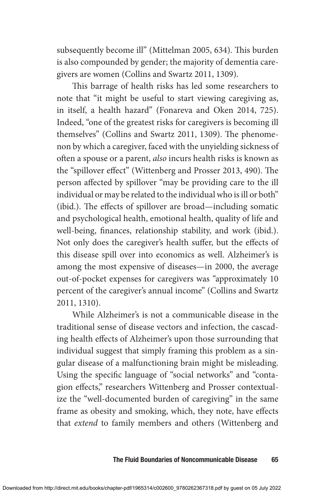subsequently become ill" (Mittelman 2005, 634). This burden is also compounded by gender; the majority of dementia caregivers are women (Collins and Swartz 2011, 1309).

This barrage of health risks has led some researchers to note that "it might be useful to start viewing caregiving as, in itself, a health hazard" (Fonareva and Oken 2014, 725). Indeed, "one of the greatest risks for caregivers is becoming ill themselves" (Collins and Swartz 2011, 1309). The phenomenon by which a caregiver, faced with the unyielding sickness of often a spouse or a parent, *also* incurs health risks is known as the "spillover effect" (Wittenberg and Prosser 2013, 490). The person affected by spillover "may be providing care to the ill individual or may be related to the individual who is ill or both" (ibid.). The effects of spillover are broad—including somatic and psychological health, emotional health, quality of life and well-being, finances, relationship stability, and work (ibid.). Not only does the caregiver's health suffer, but the effects of this disease spill over into economics as well. Alzheimer's is among the most expensive of diseases—in 2000, the average out-of-pocket expenses for caregivers was "approximately 10 percent of the caregiver's annual income" (Collins and Swartz 2011, 1310).

While Alzheimer's is not a communicable disease in the traditional sense of disease vectors and infection, the cascading health effects of Alzheimer's upon those surrounding that individual suggest that simply framing this problem as a singular disease of a malfunctioning brain might be misleading. Using the specific language of "social networks" and "contagion effects," researchers Wittenberg and Prosser contextualize the "well-documented burden of caregiving" in the same frame as obesity and smoking, which, they note, have effects that *extend* to family members and others (Wittenberg and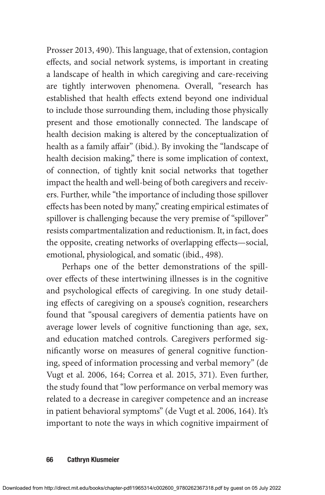Prosser 2013, 490). This language, that of extension, contagion effects, and social network systems, is important in creating a landscape of health in which caregiving and care-receiving are tightly interwoven phenomena. Overall, "research has established that health effects extend beyond one individual to include those surrounding them, including those physically present and those emotionally connected. The landscape of health decision making is altered by the conceptualization of health as a family affair" (ibid.). By invoking the "landscape of health decision making," there is some implication of context, of connection, of tightly knit social networks that together impact the health and well-being of both caregivers and receivers. Further, while "the importance of including those spillover effects has been noted by many," creating empirical estimates of spillover is challenging because the very premise of "spillover" resists compartmentalization and reductionism. It, in fact, does the opposite, creating networks of overlapping effects—social, emotional, physiological, and somatic (ibid., 498).

Perhaps one of the better demonstrations of the spillover effects of these intertwining illnesses is in the cognitive and psychological effects of caregiving. In one study detailing effects of caregiving on a spouse's cognition, researchers found that "spousal caregivers of dementia patients have on average lower levels of cognitive functioning than age, sex, and education matched controls. Caregivers performed significantly worse on measures of general cognitive functioning, speed of information processing and verbal memory" (de Vugt et al. 2006, 164; Correa et al. 2015, 371). Even further, the study found that "low performance on verbal memory was related to a decrease in caregiver competence and an increase in patient behavioral symptoms" (de Vugt et al. 2006, 164). It's important to note the ways in which cognitive impairment of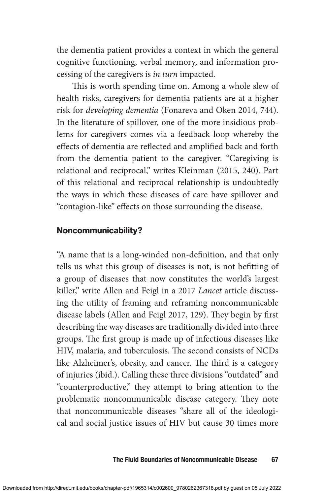the dementia patient provides a context in which the general cognitive functioning, verbal memory, and information processing of the caregivers is *in turn* impacted.

This is worth spending time on. Among a whole slew of health risks, caregivers for dementia patients are at a higher risk for *developing dementia* (Fonareva and Oken 2014, 744). In the literature of spillover, one of the more insidious problems for caregivers comes via a feedback loop whereby the effects of dementia are reflected and amplified back and forth from the dementia patient to the caregiver. "Caregiving is relational and reciprocal," writes Kleinman (2015, 240). Part of this relational and reciprocal relationship is undoubtedly the ways in which these diseases of care have spillover and "contagion-like" effects on those surrounding the disease.

## Noncommunicability?

"A name that is a long-winded non-definition, and that only tells us what this group of diseases is not, is not befitting of a group of diseases that now constitutes the world's largest killer," write Allen and Feigl in a 2017 *Lancet* article discussing the utility of framing and reframing noncommunicable disease labels (Allen and Feigl 2017, 129). They begin by first describing the way diseases are traditionally divided into three groups. The first group is made up of infectious diseases like HIV, malaria, and tuberculosis. The second consists of NCDs like Alzheimer's, obesity, and cancer. The third is a category of injuries (ibid.). Calling these three divisions "outdated" and "counterproductive," they attempt to bring attention to the problematic noncommunicable disease category. They note that noncommunicable diseases "share all of the ideological and social justice issues of HIV but cause 30 times more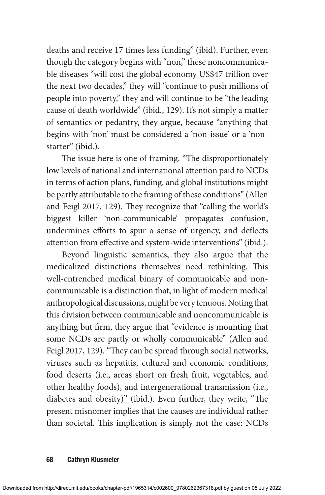deaths and receive 17 times less funding" (ibid). Further, even though the category begins with "non," these noncommunicable diseases "will cost the global economy US\$47 trillion over the next two decades," they will "continue to push millions of people into poverty," they and will continue to be "the leading cause of death worldwide" (ibid., 129). It's not simply a matter of semantics or pedantry, they argue, because "anything that begins with 'non' must be considered a 'non-issue' or a 'nonstarter" (ibid.).

The issue here is one of framing. "The disproportionately low levels of national and international attention paid to NCDs in terms of action plans, funding, and global institutions might be partly attributable to the framing of these conditions" (Allen and Feigl 2017, 129). They recognize that "calling the world's biggest killer 'non-communicable' propagates confusion, undermines efforts to spur a sense of urgency, and deflects attention from effective and system-wide interventions" (ibid.).

Beyond linguistic semantics, they also argue that the medicalized distinctions themselves need rethinking. This well-entrenched medical binary of communicable and noncommunicable is a distinction that, in light of modern medical anthropological discussions, might be very tenuous. Noting that this division between communicable and noncommunicable is anything but firm, they argue that "evidence is mounting that some NCDs are partly or wholly communicable" (Allen and Feigl 2017, 129). "They can be spread through social networks, viruses such as hepatitis, cultural and economic conditions, food deserts (i.e., areas short on fresh fruit, vegetables, and other healthy foods), and intergenerational transmission (i.e., diabetes and obesity)" (ibid.). Even further, they write, "The present misnomer implies that the causes are individual rather than societal. This implication is simply not the case: NCDs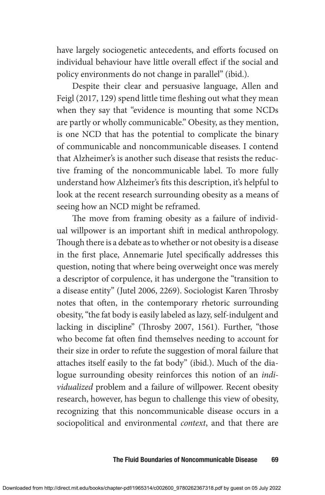have largely sociogenetic antecedents, and efforts focused on individual behaviour have little overall effect if the social and policy environments do not change in parallel" (ibid.).

Despite their clear and persuasive language, Allen and Feigl (2017, 129) spend little time fleshing out what they mean when they say that "evidence is mounting that some NCDs are partly or wholly communicable." Obesity, as they mention, is one NCD that has the potential to complicate the binary of communicable and noncommunicable diseases. I contend that Alzheimer's is another such disease that resists the reductive framing of the noncommunicable label. To more fully understand how Alzheimer's fits this description, it's helpful to look at the recent research surrounding obesity as a means of seeing how an NCD might be reframed.

The move from framing obesity as a failure of individual willpower is an important shift in medical anthropology. Though there is a debate as to whether or not obesity is a disease in the first place, Annemarie Jutel specifically addresses this question, noting that where being overweight once was merely a descriptor of corpulence, it has undergone the "transition to a disease entity" (Jutel 2006, 2269). Sociologist Karen Throsby notes that often, in the contemporary rhetoric surrounding obesity, "the fat body is easily labeled as lazy, self-indulgent and lacking in discipline" (Throsby 2007, 1561). Further, "those who become fat often find themselves needing to account for their size in order to refute the suggestion of moral failure that attaches itself easily to the fat body" (ibid.). Much of the dialogue surrounding obesity reinforces this notion of an *individualized* problem and a failure of willpower. Recent obesity research, however, has begun to challenge this view of obesity, recognizing that this noncommunicable disease occurs in a sociopolitical and environmental *context*, and that there are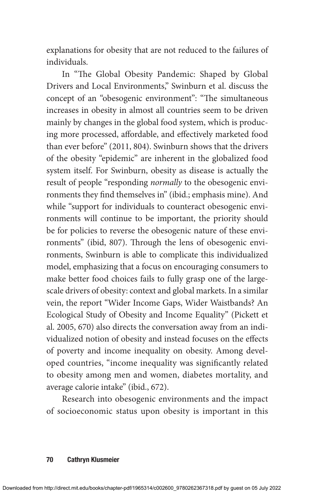explanations for obesity that are not reduced to the failures of individuals.

In "The Global Obesity Pandemic: Shaped by Global Drivers and Local Environments," Swinburn et al. discuss the concept of an "obesogenic environment": "The simultaneous increases in obesity in almost all countries seem to be driven mainly by changes in the global food system, which is producing more processed, affordable, and effectively marketed food than ever before" (2011, 804). Swinburn shows that the drivers of the obesity "epidemic" are inherent in the globalized food system itself. For Swinburn, obesity as disease is actually the result of people "responding *normally* to the obesogenic environments they find themselves in" (ibid.; emphasis mine). And while "support for individuals to counteract obesogenic environments will continue to be important, the priority should be for policies to reverse the obesogenic nature of these environments" (ibid, 807). Through the lens of obesogenic environments, Swinburn is able to complicate this individualized model, emphasizing that a focus on encouraging consumers to make better food choices fails to fully grasp one of the largescale drivers of obesity: context and global markets. In a similar vein, the report "Wider Income Gaps, Wider Waistbands? An Ecological Study of Obesity and Income Equality" (Pickett et al. 2005, 670) also directs the conversation away from an individualized notion of obesity and instead focuses on the effects of poverty and income inequality on obesity. Among developed countries, "income inequality was significantly related to obesity among men and women, diabetes mortality, and average calorie intake" (ibid., 672).

Research into obesogenic environments and the impact of socioeconomic status upon obesity is important in this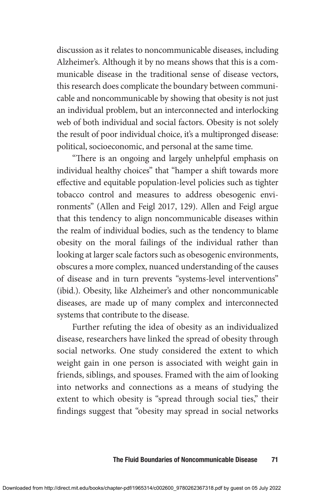discussion as it relates to noncommunicable diseases, including Alzheimer's. Although it by no means shows that this is a communicable disease in the traditional sense of disease vectors, this research does complicate the boundary between communicable and noncommunicable by showing that obesity is not just an individual problem, but an interconnected and interlocking web of both individual and social factors. Obesity is not solely the result of poor individual choice, it's a multipronged disease: political, socioeconomic, and personal at the same time.

"There is an ongoing and largely unhelpful emphasis on individual healthy choices" that "hamper a shift towards more effective and equitable population-level policies such as tighter tobacco control and measures to address obesogenic environments" (Allen and Feigl 2017, 129). Allen and Feigl argue that this tendency to align noncommunicable diseases within the realm of individual bodies, such as the tendency to blame obesity on the moral failings of the individual rather than looking at larger scale factors such as obesogenic environments, obscures a more complex, nuanced understanding of the causes of disease and in turn prevents "systems-level interventions" (ibid.). Obesity, like Alzheimer's and other noncommunicable diseases, are made up of many complex and interconnected systems that contribute to the disease.

Further refuting the idea of obesity as an individualized disease, researchers have linked the spread of obesity through social networks. One study considered the extent to which weight gain in one person is associated with weight gain in friends, siblings, and spouses. Framed with the aim of looking into networks and connections as a means of studying the extent to which obesity is "spread through social ties," their findings suggest that "obesity may spread in social networks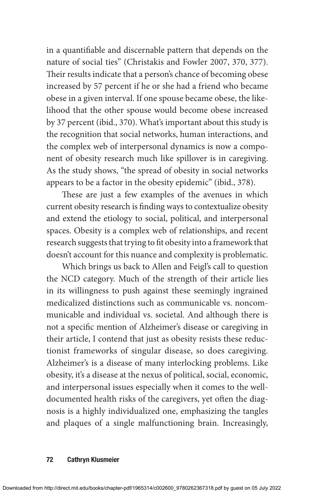in a quantifiable and discernable pattern that depends on the nature of social ties" (Christakis and Fowler 2007, 370, 377). Their results indicate that a person's chance of becoming obese increased by 57 percent if he or she had a friend who became obese in a given interval. If one spouse became obese, the likelihood that the other spouse would become obese increased by 37 percent (ibid., 370). What's important about this study is the recognition that social networks, human interactions, and the complex web of interpersonal dynamics is now a component of obesity research much like spillover is in caregiving. As the study shows, "the spread of obesity in social networks appears to be a factor in the obesity epidemic" (ibid., 378).

These are just a few examples of the avenues in which current obesity research is finding ways to contextualize obesity and extend the etiology to social, political, and interpersonal spaces. Obesity is a complex web of relationships, and recent research suggests that trying to fit obesity into a framework that doesn't account for this nuance and complexity is problematic.

Which brings us back to Allen and Feigl's call to question the NCD category. Much of the strength of their article lies in its willingness to push against these seemingly ingrained medicalized distinctions such as communicable vs. noncommunicable and individual vs. societal. And although there is not a specific mention of Alzheimer's disease or caregiving in their article, I contend that just as obesity resists these reductionist frameworks of singular disease, so does caregiving. Alzheimer's is a disease of many interlocking problems. Like obesity, it's a disease at the nexus of political, social, economic, and interpersonal issues especially when it comes to the welldocumented health risks of the caregivers, yet often the diagnosis is a highly individualized one, emphasizing the tangles and plaques of a single malfunctioning brain. Increasingly,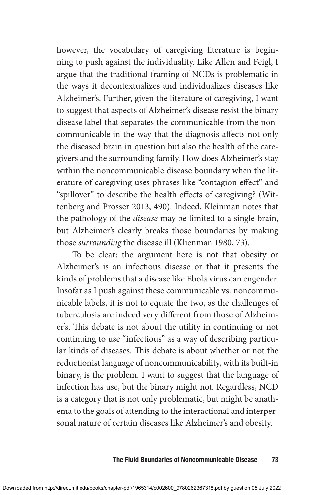however, the vocabulary of caregiving literature is beginning to push against the individuality. Like Allen and Feigl, I argue that the traditional framing of NCDs is problematic in the ways it decontextualizes and individualizes diseases like Alzheimer's. Further, given the literature of caregiving, I want to suggest that aspects of Alzheimer's disease resist the binary disease label that separates the communicable from the noncommunicable in the way that the diagnosis affects not only the diseased brain in question but also the health of the caregivers and the surrounding family. How does Alzheimer's stay within the noncommunicable disease boundary when the literature of caregiving uses phrases like "contagion effect" and "spillover" to describe the health effects of caregiving? (Wittenberg and Prosser 2013, 490). Indeed, Kleinman notes that the pathology of the *disease* may be limited to a single brain, but Alzheimer's clearly breaks those boundaries by making those *surrounding* the disease ill (Klienman 1980, 73).

To be clear: the argument here is not that obesity or Alzheimer's is an infectious disease or that it presents the kinds of problems that a disease like Ebola virus can engender. Insofar as I push against these communicable vs. noncommunicable labels, it is not to equate the two, as the challenges of tuberculosis are indeed very different from those of Alzheimer's. This debate is not about the utility in continuing or not continuing to use "infectious" as a way of describing particular kinds of diseases. This debate is about whether or not the reductionist language of noncommunicability, with its built-in binary, is the problem. I want to suggest that the language of infection has use, but the binary might not. Regardless, NCD is a category that is not only problematic, but might be anathema to the goals of attending to the interactional and interpersonal nature of certain diseases like Alzheimer's and obesity.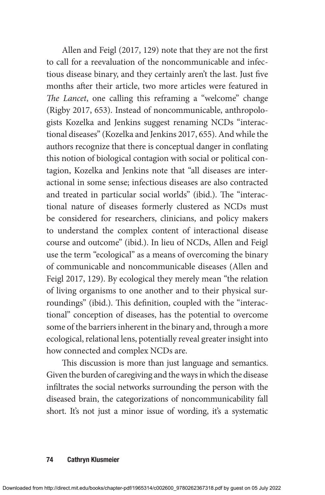Allen and Feigl (2017, 129) note that they are not the first to call for a reevaluation of the noncommunicable and infectious disease binary, and they certainly aren't the last. Just five months after their article, two more articles were featured in *The Lancet*, one calling this reframing a "welcome" change (Rigby 2017, 653). Instead of noncommunicable, anthropologists Kozelka and Jenkins suggest renaming NCDs "interactional diseases" (Kozelka and Jenkins 2017, 655). And while the authors recognize that there is conceptual danger in conflating this notion of biological contagion with social or political contagion, Kozelka and Jenkins note that "all diseases are interactional in some sense; infectious diseases are also contracted and treated in particular social worlds" (ibid.). The "interactional nature of diseases formerly clustered as NCDs must be considered for researchers, clinicians, and policy makers to understand the complex content of interactional disease course and outcome" (ibid.). In lieu of NCDs, Allen and Feigl use the term "ecological" as a means of overcoming the binary of communicable and noncommunicable diseases (Allen and Feigl 2017, 129). By ecological they merely mean "the relation of living organisms to one another and to their physical surroundings" (ibid.). This definition, coupled with the "interactional" conception of diseases, has the potential to overcome some of the barriers inherent in the binary and, through a more ecological, relational lens, potentially reveal greater insight into how connected and complex NCDs are.

This discussion is more than just language and semantics. Given the burden of caregiving and the ways in which the disease infiltrates the social networks surrounding the person with the diseased brain, the categorizations of noncommunicability fall short. It's not just a minor issue of wording, it's a systematic

#### 74 Cathryn Klusmeier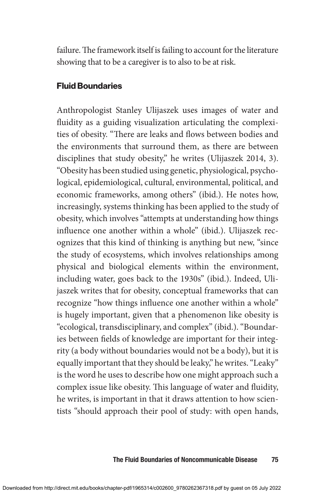failure. The framework itself is failing to account for the literature showing that to be a caregiver is to also to be at risk.

## Fluid Boundaries

Anthropologist Stanley Ulijaszek uses images of water and fluidity as a guiding visualization articulating the complexities of obesity. "There are leaks and flows between bodies and the environments that surround them, as there are between disciplines that study obesity," he writes (Ulijaszek 2014, 3). "Obesity has been studied using genetic, physiological, psychological, epidemiological, cultural, environmental, political, and economic frameworks, among others" (ibid.). He notes how, increasingly, systems thinking has been applied to the study of obesity, which involves "attempts at understanding how things influence one another within a whole" (ibid.). Ulijaszek recognizes that this kind of thinking is anything but new, "since the study of ecosystems, which involves relationships among physical and biological elements within the environment, including water, goes back to the 1930s" (ibid.). Indeed, Ulijaszek writes that for obesity, conceptual frameworks that can recognize "how things influence one another within a whole" is hugely important, given that a phenomenon like obesity is "ecological, transdisciplinary, and complex" (ibid.). "Boundaries between fields of knowledge are important for their integrity (a body without boundaries would not be a body), but it is equally important that they should be leaky," he writes. "Leaky" is the word he uses to describe how one might approach such a complex issue like obesity. This language of water and fluidity, he writes, is important in that it draws attention to how scientists "should approach their pool of study: with open hands,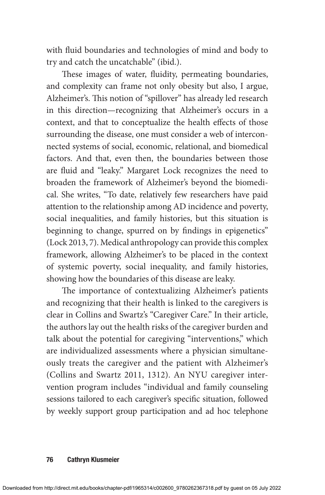with fluid boundaries and technologies of mind and body to try and catch the uncatchable" (ibid.).

These images of water, fluidity, permeating boundaries, and complexity can frame not only obesity but also, I argue, Alzheimer's. This notion of "spillover" has already led research in this direction—recognizing that Alzheimer's occurs in a context, and that to conceptualize the health effects of those surrounding the disease, one must consider a web of interconnected systems of social, economic, relational, and biomedical factors. And that, even then, the boundaries between those are fluid and "leaky." Margaret Lock recognizes the need to broaden the framework of Alzheimer's beyond the biomedical. She writes, "To date, relatively few researchers have paid attention to the relationship among AD incidence and poverty, social inequalities, and family histories, but this situation is beginning to change, spurred on by findings in epigenetics" (Lock 2013, 7). Medical anthropology can provide this complex framework, allowing Alzheimer's to be placed in the context of systemic poverty, social inequality, and family histories, showing how the boundaries of this disease are leaky.

The importance of contextualizing Alzheimer's patients and recognizing that their health is linked to the caregivers is clear in Collins and Swartz's "Caregiver Care." In their article, the authors lay out the health risks of the caregiver burden and talk about the potential for caregiving "interventions," which are individualized assessments where a physician simultaneously treats the caregiver and the patient with Alzheimer's (Collins and Swartz 2011, 1312). An NYU caregiver intervention program includes "individual and family counseling sessions tailored to each caregiver's specific situation, followed by weekly support group participation and ad hoc telephone

#### 76 Cathryn Klusmeier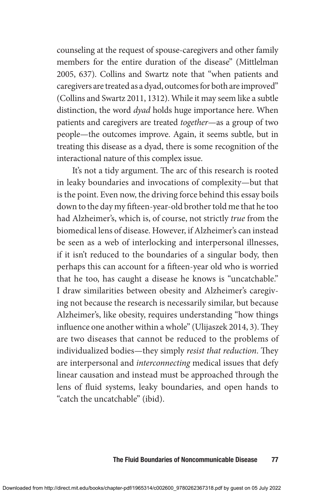counseling at the request of spouse-caregivers and other family members for the entire duration of the disease" (Mittlelman 2005, 637). Collins and Swartz note that "when patients and caregivers are treated as a dyad, outcomes for both are improved" (Collins and Swartz 2011, 1312). While it may seem like a subtle distinction, the word *dyad* holds huge importance here. When patients and caregivers are treated *together*—as a group of two people—the outcomes improve. Again, it seems subtle, but in treating this disease as a dyad, there is some recognition of the interactional nature of this complex issue.

It's not a tidy argument. The arc of this research is rooted in leaky boundaries and invocations of complexity—but that is the point. Even now, the driving force behind this essay boils down to the day my fifteen-year-old brother told me that he too had Alzheimer's, which is, of course, not strictly *true* from the biomedical lens of disease. However, if Alzheimer's can instead be seen as a web of interlocking and interpersonal illnesses, if it isn't reduced to the boundaries of a singular body, then perhaps this can account for a fifteen-year old who is worried that he too, has caught a disease he knows is "uncatchable." I draw similarities between obesity and Alzheimer's caregiving not because the research is necessarily similar, but because Alzheimer's, like obesity, requires understanding "how things influence one another within a whole" (Ulijaszek 2014, 3). They are two diseases that cannot be reduced to the problems of individualized bodies—they simply *resist that reduction*. They are interpersonal and *interconnecting* medical issues that defy linear causation and instead must be approached through the lens of fluid systems, leaky boundaries, and open hands to "catch the uncatchable" (ibid).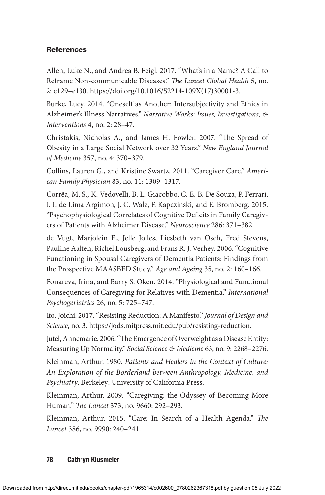### **References**

Allen, Luke N., and Andrea B. Feigl. 2017. "What's in a Name? A Call to Reframe Non-communicable Diseases." *The Lancet Global Health* 5, no. 2: e129–e130. [https://doi.org/10.1016/S2214-109X\(17\)30001-3.](https://doi.org/10.1016/S2214-109X(17)30001-3)

Burke, Lucy. 2014. "Oneself as Another: Intersubjectivity and Ethics in Alzheimer's Illness Narratives." *Narrative Works: Issues, Investigations, & Interventions* 4, no. 2: 28–47.

Christakis, Nicholas A., and James H. Fowler. 2007. "The Spread of Obesity in a Large Social Network over 32 Years." *New England Journal of Medicine* 357, no. 4: 370–379.

Collins, Lauren G., and Kristine Swartz. 2011. "Caregiver Care." *American Family Physician* 83, no. 11: 1309–1317.

Corrêa, M. S., K. Vedovelli, B. L. Giacobbo, C. E. B. De Souza, P. Ferrari, I. I. de Lima Argimon, J. C. Walz, F. Kapczinski, and E. Bromberg. 2015. "Psychophysiological Correlates of Cognitive Deficits in Family Caregivers of Patients with Alzheimer Disease." *Neuroscience* 286: 371–382.

de Vugt, Marjolein E., Jelle Jolles, Liesbeth van Osch, Fred Stevens, Pauline Aalten, Richel Lousberg, and Frans R. J. Verhey. 2006. "Cognitive Functioning in Spousal Caregivers of Dementia Patients: Findings from the Prospective MAASBED Study." *Age and Ageing* 35, no. 2: 160–166.

Fonareva, Irina, and Barry S. Oken. 2014. "Physiological and Functional Consequences of Caregiving for Relatives with Dementia." *International Psychogeriatrics* 26, no. 5: 725–747.

Ito, Joichi. 2017. "Resisting Reduction: A Manifesto." *Journal of Design and Science*, no. 3. [https://jods.mitpress.mit.edu/pub/resisting-reduction.](https://jods.mitpress.mit.edu/pub/resisting-reduction)

Jutel, Annemarie. 2006. "The Emergence of Overweight as a Disease Entity: Measuring Up Normality." *Social Science & Medicine* 63, no. 9: 2268–2276.

Kleinman, Arthur. 1980. *Patients and Healers in the Context of Culture: An Exploration of the Borderland between Anthropology, Medicine, and Psychiatry*. Berkeley: University of California Press.

Kleinman, Arthur. 2009. "Caregiving: the Odyssey of Becoming More Human." *The Lancet* 373, no. 9660: 292–293.

Kleinman, Arthur. 2015. "Care: In Search of a Health Agenda." *The Lancet* 386, no. 9990: 240–241.

#### 78 Cathryn Klusmeier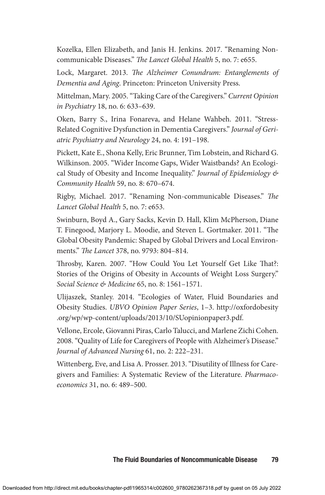Kozelka, Ellen Elizabeth, and Janis H. Jenkins. 2017. "Renaming Noncommunicable Diseases." *The Lancet Global Health* 5, no. 7: e655.

Lock, Margaret. 2013. *The Alzheimer Conundrum: Entanglements of Dementia and Aging*. Princeton: Princeton University Press.

Mittelman, Mary. 2005. "Taking Care of the Caregivers." *Current Opinion in Psychiatry* 18, no. 6: 633–639.

Oken, Barry S., Irina Fonareva, and Helane Wahbeh. 2011. "Stress-Related Cognitive Dysfunction in Dementia Caregivers." *Journal of Geriatric Psychiatry and Neurology* 24, no. 4: 191–198.

Pickett, Kate E., Shona Kelly, Eric Brunner, Tim Lobstein, and Richard G. Wilkinson. 2005. "Wider Income Gaps, Wider Waistbands? An Ecological Study of Obesity and Income Inequality." *Journal of Epidemiology & Community Health* 59, no. 8: 670–674.

Rigby, Michael. 2017. "Renaming Non-communicable Diseases." *The Lancet Global Health* 5, no. 7: e653.

Swinburn, Boyd A., Gary Sacks, Kevin D. Hall, Klim McPherson, Diane T. Finegood, Marjory L. Moodie, and Steven L. Gortmaker. 2011. "The Global Obesity Pandemic: Shaped by Global Drivers and Local Environments." *The Lancet* 378, no. 9793: 804–814.

Throsby, Karen. 2007. "How Could You Let Yourself Get Like That?: Stories of the Origins of Obesity in Accounts of Weight Loss Surgery." *Social Science & Medicine* 65, no. 8: 1561–1571.

Ulijaszek, Stanley. 2014. "Ecologies of Water, Fluid Boundaries and Obesity Studies. *UBVO Opinion Paper Series*, 1–3. [http://oxfordobesity](http://oxfordobesity.org/wp/wp-content/uploads/2013/10/SUopinionpaper3.pdf) [.org/wp/wp-content/uploads/2013/10/SUopinionpaper3.pdf.](http://oxfordobesity.org/wp/wp-content/uploads/2013/10/SUopinionpaper3.pdf)

Vellone, Ercole, Giovanni Piras, Carlo Talucci, and Marlene Zichi Cohen. 2008. "Quality of Life for Caregivers of People with Alzheimer's Disease." *Journal of Advanced Nursing* 61, no. 2: 222–231.

Wittenberg, Eve, and Lisa A. Prosser. 2013. "Disutility of Illness for Caregivers and Families: A Systematic Review of the Literature. *Pharmacoeconomics* 31, no. 6: 489–500.